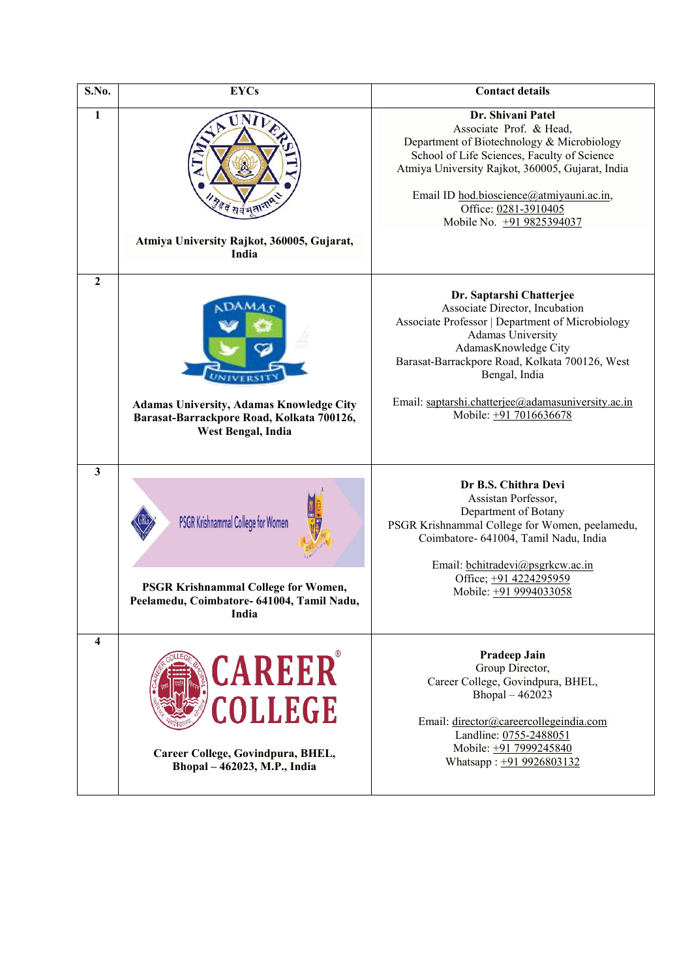| S.No.            | <b>EYCs</b>                                                                                                                             | <b>Contact details</b>                                                                                                                                                                                                                                                                                                |
|------------------|-----------------------------------------------------------------------------------------------------------------------------------------|-----------------------------------------------------------------------------------------------------------------------------------------------------------------------------------------------------------------------------------------------------------------------------------------------------------------------|
| $\mathbf{1}$     | हैं वे सर्वभूतान<br>Atmiya University Rajkot, 360005, Gujarat,<br>India                                                                 | Dr. Shivani Patel<br>Associate Prof. & Head,<br>Department of Biotechnology & Microbiology<br>School of Life Sciences, Faculty of Science<br>Atmiya University Rajkot, 360005, Gujarat, India<br>Email ID hod.bioscience@atmiyauni.ac.in,<br>Office: 0281-3910405<br>Mobile No. +91 9825394037                        |
| $\boldsymbol{2}$ | Adamas University, Adamas Knowledge City<br>Barasat-Barrackpore Road, Kolkata 700126,<br>West Bengal, India                             | Dr. Saptarshi Chatterjee<br>Associate Director, Incubation<br>Associate Professor   Department of Microbiology<br><b>Adamas University</b><br>AdamasKnowledge City<br>Barasat-Barrackpore Road, Kolkata 700126, West<br>Bengal, India<br>Email: saptarshi.chatterjee@adamasuniversity.ac.in<br>Mobile: +91 7016636678 |
| 3                | PSGR Krishnammal College for Women<br><b>PSGR Krishnammal College for Women,</b><br>Peelamedu, Coimbatore- 641004, Tamil Nadu,<br>India | Dr B.S. Chithra Devi<br>Assistan Porfessor,<br>Department of Botany<br>PSGR Krishnammal College for Women, peelamedu,<br>Coimbatore- 641004, Tamil Nadu, India<br>Email: bchitradevi@psgrkcw.ac.in<br>Office; +91 4224295959<br>Mobile: +91 9994033058                                                                |
| 4                | CAREER<br>COLLEGE<br>Career College, Govindpura, BHEL,<br>Bhopal - 462023, M.P., India                                                  | Pradeep Jain<br>Group Director,<br>Career College, Govindpura, BHEL,<br>Bhopal - 462023<br>Email: director@careercollegeindia.com<br>Landline: 0755-2488051<br>Mobile: +91 7999245840<br>Whatsapp: +91 9926803132                                                                                                     |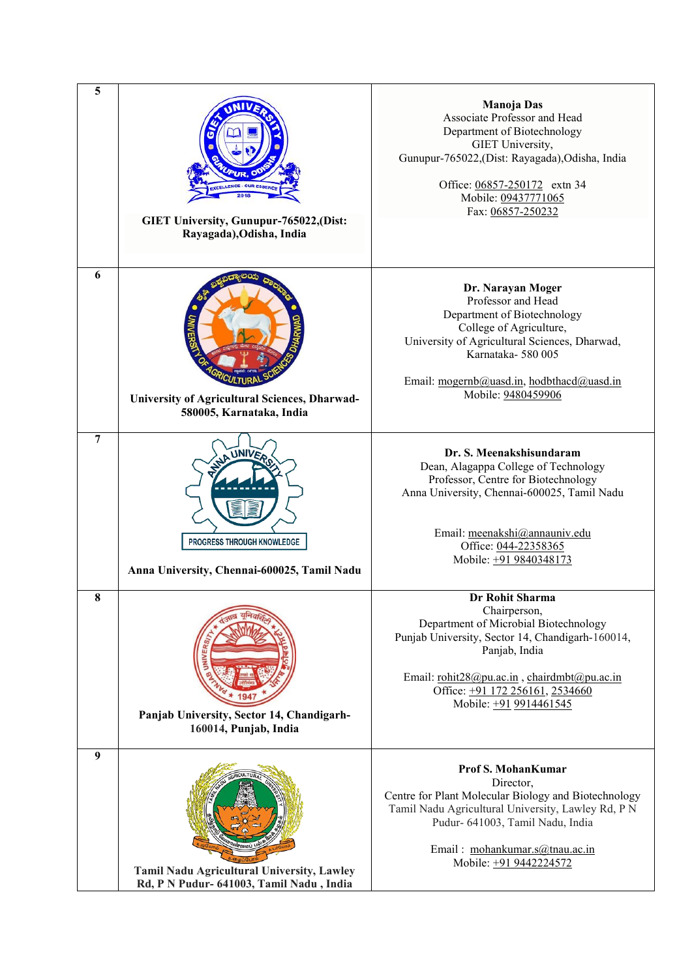| 5              | GIET University, Gunupur-765022,(Dist:<br>Rayagada), Odisha, India                     | <b>Manoja Das</b><br>Associate Professor and Head<br>Department of Biotechnology<br>GIET University,<br>Gunupur-765022,(Dist: Rayagada),Odisha, India<br>Office: 06857-250172 extn 34<br>Mobile: 09437771065<br>Fax: 06857-250232                         |
|----------------|----------------------------------------------------------------------------------------|-----------------------------------------------------------------------------------------------------------------------------------------------------------------------------------------------------------------------------------------------------------|
| 6              | University of Agricultural Sciences, Dharwad-<br>580005, Karnataka, India              | Dr. Narayan Moger<br>Professor and Head<br>Department of Biotechnology<br>College of Agriculture,<br>University of Agricultural Sciences, Dharwad,<br>Karnataka-580005<br>Email: mogernb@uasd.in, hodbthacd@uasd.in<br>Mobile: 9480459906                 |
| $\overline{7}$ | PROGRESS THROUGH KNOWLEDGE<br>Anna University, Chennai-600025, Tamil Nadu              | Dr. S. Meenakshisundaram<br>Dean, Alagappa College of Technology<br>Professor, Centre for Biotechnology<br>Anna University, Chennai-600025, Tamil Nadu<br>Email: meenakshi@annauniv.edu<br>Office: 044-22358365<br>Mobile: +91 9840348173                 |
| 8              | Panjab University, Sector 14, Chandigarh-<br>160014, Punjab, India                     | Dr Rohit Sharma<br>Chairperson,<br>Department of Microbial Biotechnology<br>Punjab University, Sector 14, Chandigarh-160014,<br>Panjab, India<br>Email: rohit28@pu.ac.in, chairdmbt@pu.ac.in<br>Office: +91 172 256161, 2534660<br>Mobile: +91 9914461545 |
| 9              | Tamil Nadu Agricultural University, Lawley<br>Rd, P N Pudur- 641003, Tamil Nadu, India | <b>Prof S. MohanKumar</b><br>Director,<br>Centre for Plant Molecular Biology and Biotechnology<br>Tamil Nadu Agricultural University, Lawley Rd, P N<br>Pudur- 641003, Tamil Nadu, India<br>Email: mohankumar.s@tnau.ac.in<br>Mobile: +91 9442224572      |